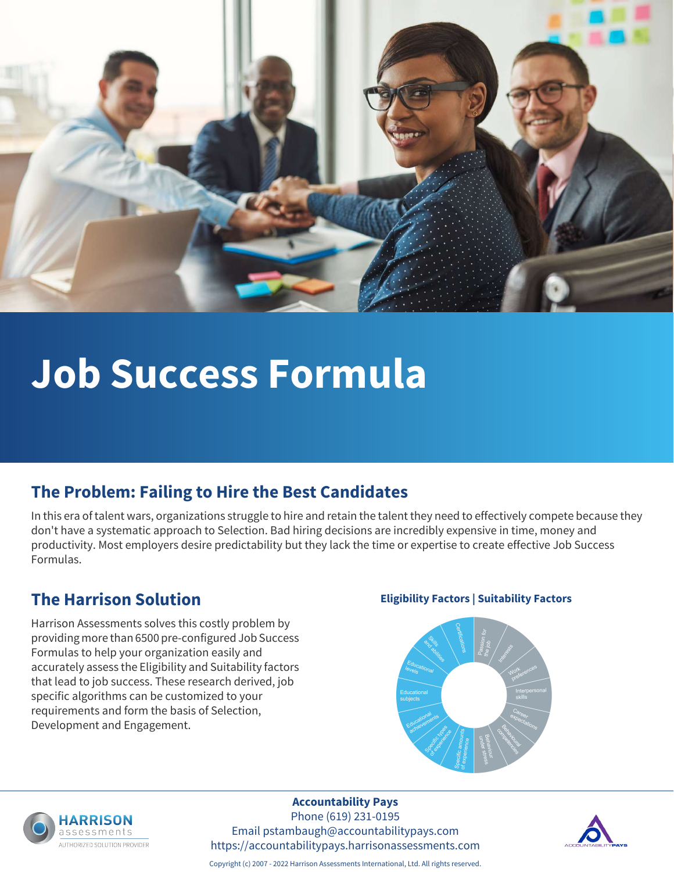

# **Job Success Formula**

#### **The Problem: Failing to Hire the Best Candidates**

In this era of talent wars, organizations struggle to hire and retain the talent they need to effectively compete because they don't have a systematic approach to Selection. Bad hiring decisions are incredibly expensive in time, money and productivity. Most employers desire predictability but they lack the time or expertise to create effective Job Success Formulas.

Harrison Assessments solves this costly problem by providing more than 6500 pre-configured Job Success Formulas to help your organization easily and accurately assess the Eligibility and Suitability factors that lead to job success. These research derived, job specific algorithms can be customized to your requirements and form the basis of Selection, Development and Engagement.

#### **The Harrison Solution Eligibility Factors | Suitability Factors**





### **Accountability Pays**

Phone (619) 231-0195 Email pstambaugh@accountabilitypays.com https://accountabilitypays.harrisonassessments.com



Copyright (c) 2007 - 2022 Harrison Assessments International, Ltd. All rights reserved.